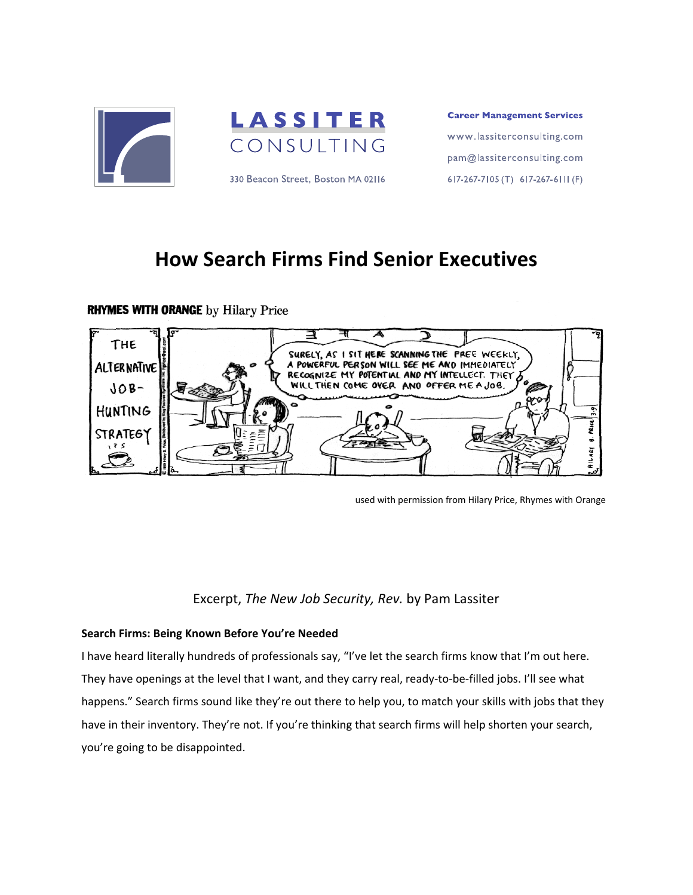



**Career Management Services** www.lassiterconsulting.com pam@lassiterconsulting.com 617-267-7105 (T) 617-267-6111 (F)

## **How Search Firms Find Senior Executives**

**RHYMES WITH ORANGE by Hilary Price** 



used with permission from Hilary Price, Rhymes with Orange

Excerpt, *The New Job Security, Rev.* by Pam Lassiter

## **Search Firms: Being Known Before You're Needed**

I have heard literally hundreds of professionals say, "I've let the search firms know that I'm out here. They have openings at the level that I want, and they carry real, ready-to-be-filled jobs. I'll see what happens." Search firms sound like they're out there to help you, to match your skills with jobs that they have in their inventory. They're not. If you're thinking that search firms will help shorten your search, you're going to be disappointed.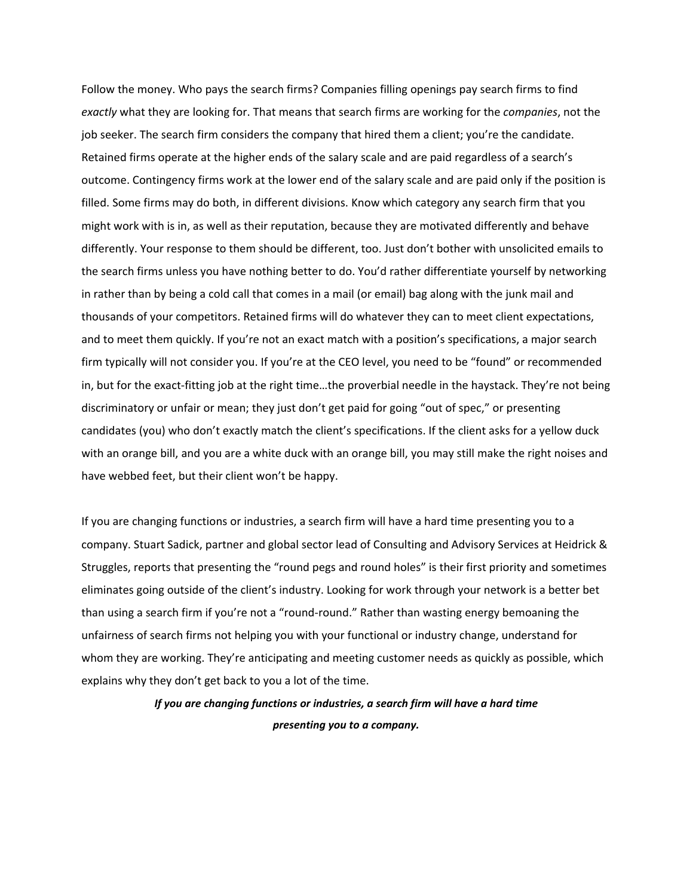Follow the money. Who pays the search firms? Companies filling openings pay search firms to find *exactly* what they are looking for. That means that search firms are working for the *companies*, not the job seeker. The search firm considers the company that hired them a client; you're the candidate. Retained firms operate at the higher ends of the salary scale and are paid regardless of a search's outcome. Contingency firms work at the lower end of the salary scale and are paid only if the position is filled. Some firms may do both, in different divisions. Know which category any search firm that you might work with is in, as well as their reputation, because they are motivated differently and behave differently. Your response to them should be different, too. Just don't bother with unsolicited emails to the search firms unless you have nothing better to do. You'd rather differentiate yourself by networking in rather than by being a cold call that comes in a mail (or email) bag along with the junk mail and thousands of your competitors. Retained firms will do whatever they can to meet client expectations, and to meet them quickly. If you're not an exact match with a position's specifications, a major search firm typically will not consider you. If you're at the CEO level, you need to be "found" or recommended in, but for the exact-fitting job at the right time...the proverbial needle in the haystack. They're not being discriminatory or unfair or mean; they just don't get paid for going "out of spec," or presenting candidates (you) who don't exactly match the client's specifications. If the client asks for a yellow duck with an orange bill, and you are a white duck with an orange bill, you may still make the right noises and have webbed feet, but their client won't be happy.

If you are changing functions or industries, a search firm will have a hard time presenting you to a company. Stuart Sadick, partner and global sector lead of Consulting and Advisory Services at Heidrick & Struggles, reports that presenting the "round pegs and round holes" is their first priority and sometimes eliminates going outside of the client's industry. Looking for work through your network is a better bet than using a search firm if you're not a "round‐round." Rather than wasting energy bemoaning the unfairness of search firms not helping you with your functional or industry change, understand for whom they are working. They're anticipating and meeting customer needs as quickly as possible, which explains why they don't get back to you a lot of the time.

> *If you are changing functions or industries, a search firm will have a hard time presenting you to a company.*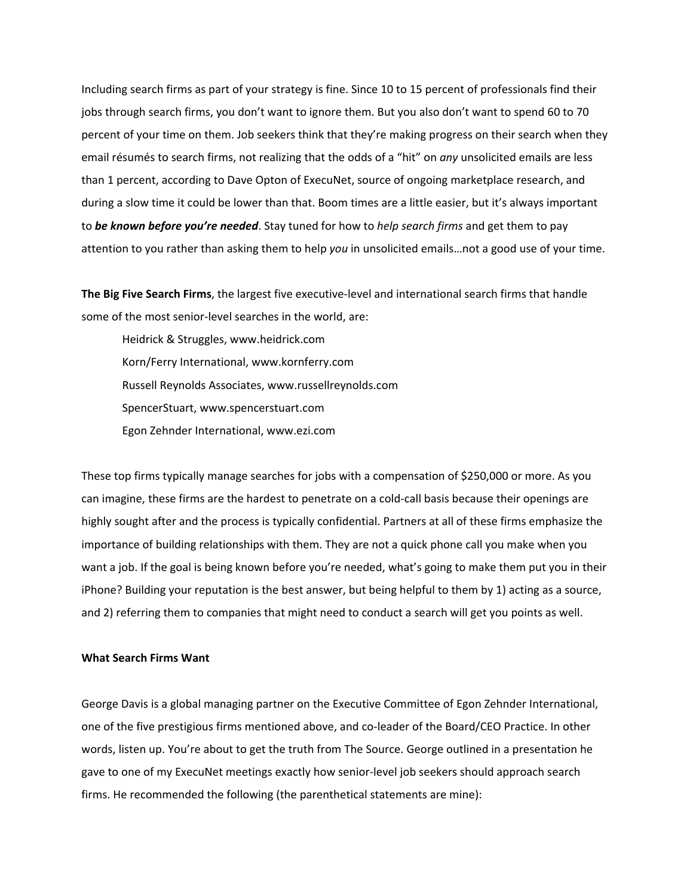Including search firms as part of your strategy is fine. Since 10 to 15 percent of professionals find their jobs through search firms, you don't want to ignore them. But you also don't want to spend 60 to 70 percent of your time on them. Job seekers think that they're making progress on their search when they email résumés to search firms, not realizing that the odds of a "hit" on *any* unsolicited emails are less than 1 percent, according to Dave Opton of ExecuNet, source of ongoing marketplace research, and during a slow time it could be lower than that. Boom times are a little easier, but it's always important to *be known before you're needed*. Stay tuned for how to *help search firms* and get them to pay attention to you rather than asking them to help *you* in unsolicited emails…not a good use of your time.

**The Big Five Search Firms**, the largest five executive‐level and international search firms that handle some of the most senior-level searches in the world, are:

Heidrick & Struggles, www.heidrick.com Korn/Ferry International, www.kornferry.com Russell Reynolds Associates, www.russellreynolds.com SpencerStuart, www.spencerstuart.com Egon Zehnder International, www.ezi.com

These top firms typically manage searches for jobs with a compensation of \$250,000 or more. As you can imagine, these firms are the hardest to penetrate on a cold‐call basis because their openings are highly sought after and the process is typically confidential. Partners at all of these firms emphasize the importance of building relationships with them. They are not a quick phone call you make when you want a job. If the goal is being known before you're needed, what's going to make them put you in their iPhone? Building your reputation is the best answer, but being helpful to them by 1) acting as a source, and 2) referring them to companies that might need to conduct a search will get you points as well.

## **What Search Firms Want**

George Davis is a global managing partner on the Executive Committee of Egon Zehnder International, one of the five prestigious firms mentioned above, and co-leader of the Board/CEO Practice. In other words, listen up. You're about to get the truth from The Source. George outlined in a presentation he gave to one of my ExecuNet meetings exactly how senior‐level job seekers should approach search firms. He recommended the following (the parenthetical statements are mine):